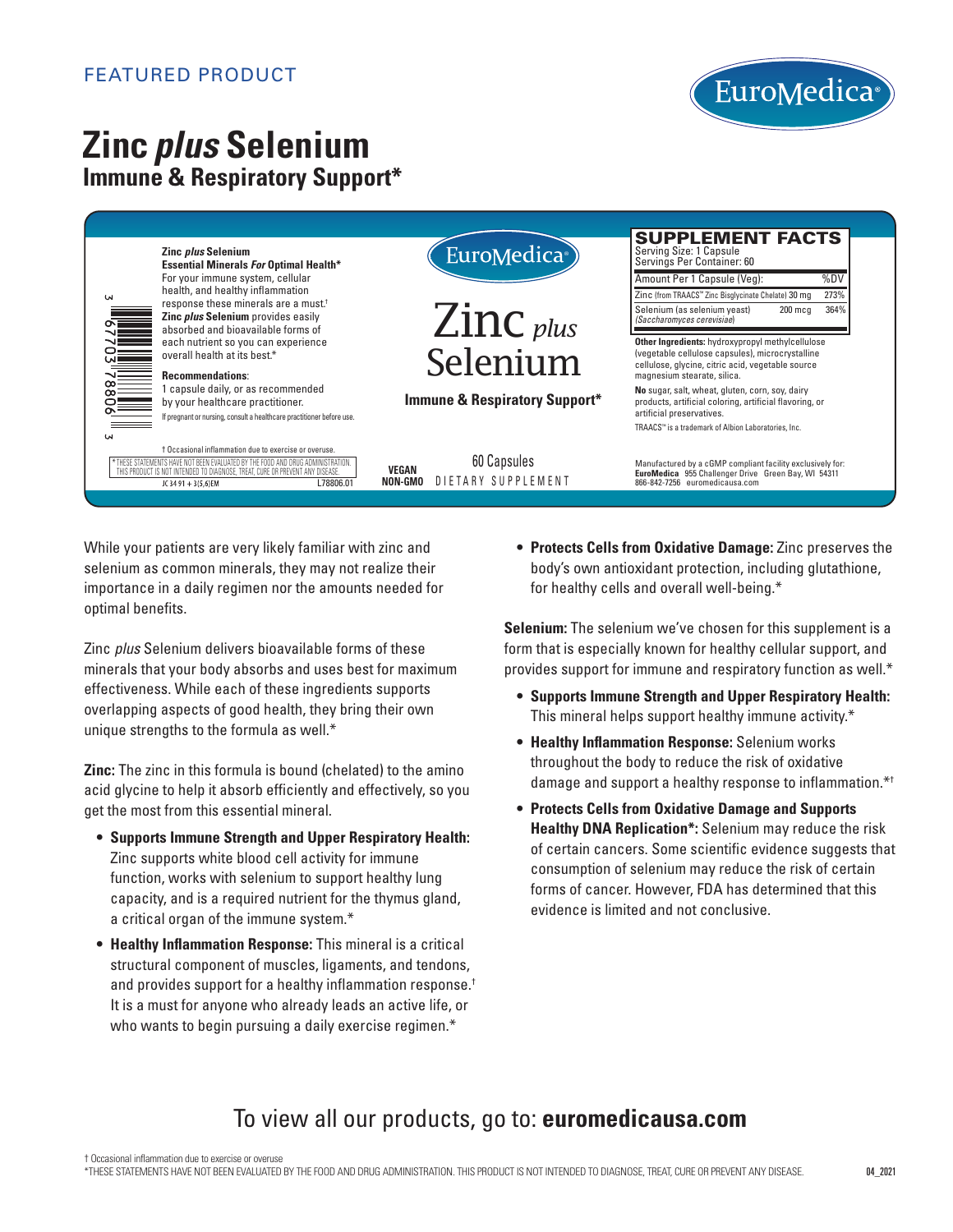### FEATURED PRODUCT



# **Zinc** *plus* **Selenium Immune & Respiratory Support\***



While your patients are very likely familiar with zinc and selenium as common minerals, they may not realize their importance in a daily regimen nor the amounts needed for optimal benefits.

Zinc *plus* Selenium delivers bioavailable forms of these minerals that your body absorbs and uses best for maximum effectiveness. While each of these ingredients supports overlapping aspects of good health, they bring their own unique strengths to the formula as well.\*

**Zinc:** The zinc in this formula is bound (chelated) to the amino acid glycine to help it absorb efficiently and effectively, so you get the most from this essential mineral.

- **Supports Immune Strength and Upper Respiratory Health:** Zinc supports white blood cell activity for immune function, works with selenium to support healthy lung capacity, and is a required nutrient for the thymus gland, a critical organ of the immune system.\*
- **Healthy Inflammation Response:** This mineral is a critical structural component of muscles, ligaments, and tendons, and provides support for a healthy inflammation response.† It is a must for anyone who already leads an active life, or who wants to begin pursuing a daily exercise regimen.\*

**• Protects Cells from Oxidative Damage:** Zinc preserves the body's own antioxidant protection, including glutathione, for healthy cells and overall well-being.\*

**Selenium:** The selenium we've chosen for this supplement is a form that is especially known for healthy cellular support, and provides support for immune and respiratory function as well.\*

- **Supports Immune Strength and Upper Respiratory Health:** This mineral helps support healthy immune activity.\*
- **Healthy Inflammation Response:** Selenium works throughout the body to reduce the risk of oxidative damage and support a healthy response to inflammation.\*†
- **Protects Cells from Oxidative Damage and Supports Healthy DNA Replication\*:** Selenium may reduce the risk of certain cancers. Some scientific evidence suggests that consumption of selenium may reduce the risk of certain forms of cancer. However, FDA has determined that this evidence is limited and not conclusive.

## To view all our products, go to: **euromedicausa.com**